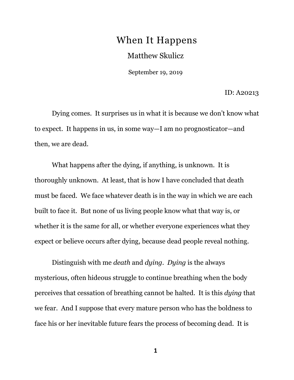## When It Happens Matthew Skulicz

September 19, 2019

ID: A20213

Dying comes. It surprises us in what it is because we don't know what to expect. It happens in us, in some way—I am no prognosticator—and then, we are dead.

What happens after the dying, if anything, is unknown. It is thoroughly unknown. At least, that is how I have concluded that death must be faced. We face whatever death is in the way in which we are each built to face it. But none of us living people know what that way is, or whether it is the same for all, or whether everyone experiences what they expect or believe occurs after dying, because dead people reveal nothing.

Distinguish with me *death* and *dying*. *Dying* is the always mysterious, often hideous struggle to continue breathing when the body perceives that cessation of breathing cannot be halted. It is this *dying* that we fear. And I suppose that every mature person who has the boldness to face his or her inevitable future fears the process of becoming dead. It is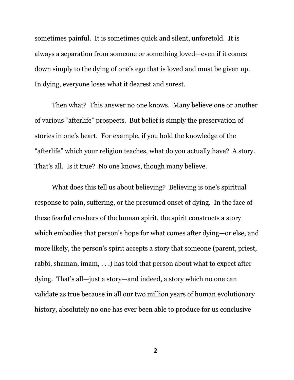sometimes painful. It is sometimes quick and silent, unforetold. It is always a separation from someone or something loved—even if it comes down simply to the dying of one's ego that is loved and must be given up. In dying, everyone loses what it dearest and surest.

Then what? This answer no one knows. Many believe one or another of various "afterlife" prospects. But belief is simply the preservation of stories in one's heart. For example, if you hold the knowledge of the "afterlife" which your religion teaches, what do you actually have? A story. That's all. Is it true? No one knows, though many believe.

What does this tell us about believing? Believing is one's spiritual response to pain, suffering, or the presumed onset of dying. In the face of these fearful crushers of the human spirit, the spirit constructs a story which embodies that person's hope for what comes after dying—or else, and more likely, the person's spirit accepts a story that someone (parent, priest, rabbi, shaman, imam, . . .) has told that person about what to expect after dying. That's all—just a story—and indeed, a story which no one can validate as true because in all our two million years of human evolutionary history, absolutely no one has ever been able to produce for us conclusive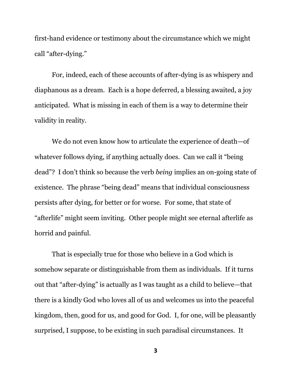first-hand evidence or testimony about the circumstance which we might call "after-dying."

For, indeed, each of these accounts of after-dying is as whispery and diaphanous as a dream. Each is a hope deferred, a blessing awaited, a joy anticipated. What is missing in each of them is a way to determine their validity in reality.

We do not even know how to articulate the experience of death—of whatever follows dying, if anything actually does. Can we call it "being dead"? I don't think so because the verb *being* implies an on-going state of existence. The phrase "being dead" means that individual consciousness persists after dying, for better or for worse. For some, that state of "afterlife" might seem inviting. Other people might see eternal afterlife as horrid and painful.

That is especially true for those who believe in a God which is somehow separate or distinguishable from them as individuals. If it turns out that "after-dying" is actually as I was taught as a child to believe—that there is a kindly God who loves all of us and welcomes us into the peaceful kingdom, then, good for us, and good for God. I, for one, will be pleasantly surprised, I suppose, to be existing in such paradisal circumstances. It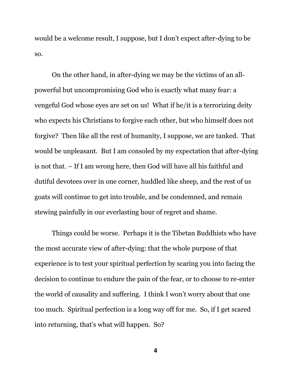would be a welcome result, I suppose, but I don't expect after-dying to be so.

On the other hand, in after-dying we may be the victims of an allpowerful but uncompromising God who is exactly what many fear: a vengeful God whose eyes are set on us! What if he/it is a terrorizing deity who expects his Christians to forgive each other, but who himself does not forgive? Then like all the rest of humanity, I suppose, we are tanked. That would be unpleasant. But I am consoled by my expectation that after-dying is not that. – If I am wrong here, then God will have all his faithful and dutiful devotees over in one corner, huddled like sheep, and the rest of us goats will continue to get into trouble, and be condemned, and remain stewing painfully in our everlasting hour of regret and shame.

Things could be worse. Perhaps it is the Tibetan Buddhists who have the most accurate view of after-dying: that the whole purpose of that experience is to test your spiritual perfection by scaring you into facing the decision to continue to endure the pain of the fear, or to choose to re-enter the world of causality and suffering. I think I won't worry about that one too much. Spiritual perfection is a long way off for me. So, if I get scared into returning, that's what will happen. So?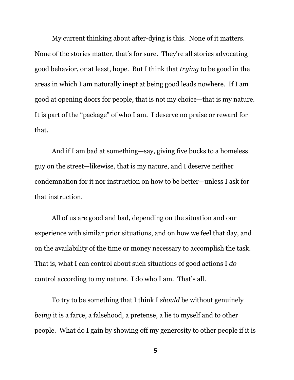My current thinking about after-dying is this. None of it matters. None of the stories matter, that's for sure. They're all stories advocating good behavior, or at least, hope. But I think that *trying* to be good in the areas in which I am naturally inept at being good leads nowhere. If I am good at opening doors for people, that is not my choice—that is my nature. It is part of the "package" of who I am. I deserve no praise or reward for that.

And if I am bad at something—say, giving five bucks to a homeless guy on the street—likewise, that is my nature, and I deserve neither condemnation for it nor instruction on how to be better—unless I ask for that instruction.

All of us are good and bad, depending on the situation and our experience with similar prior situations, and on how we feel that day, and on the availability of the time or money necessary to accomplish the task. That is, what I can control about such situations of good actions I *do* control according to my nature. I do who I am. That's all.

To try to be something that I think I *should* be without genuinely *being* it is a farce, a falsehood, a pretense, a lie to myself and to other people. What do I gain by showing off my generosity to other people if it is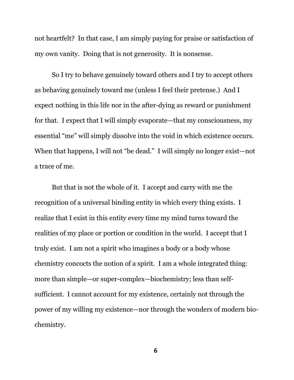not heartfelt? In that case, I am simply paying for praise or satisfaction of my own vanity. Doing that is not generosity. It is nonsense.

So I try to behave genuinely toward others and I try to accept others as behaving genuinely toward me (unless I feel their pretense.) And I expect nothing in this life nor in the after-dying as reward or punishment for that. I expect that I will simply evaporate—that my consciousness, my essential "me" will simply dissolve into the void in which existence occurs. When that happens, I will not "be dead." I will simply no longer exist—not a trace of me.

But that is not the whole of it. I accept and carry with me the recognition of a universal binding entity in which every thing exists. I realize that I exist in this entity every time my mind turns toward the realities of my place or portion or condition in the world. I accept that I truly exist. I am not a spirit who imagines a body or a body whose chemistry concocts the notion of a spirit. I am a whole integrated thing: more than simple—or super-complex—biochemistry; less than selfsufficient. I cannot account for my existence, certainly not through the power of my willing my existence—nor through the wonders of modern biochemistry.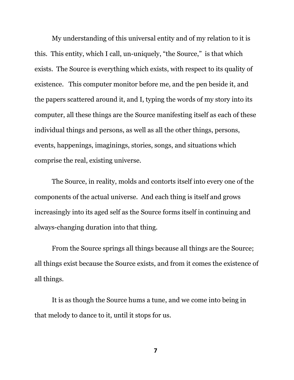My understanding of this universal entity and of my relation to it is this. This entity, which I call, un-uniquely, "the Source," is that which exists. The Source is everything which exists, with respect to its quality of existence. This computer monitor before me, and the pen beside it, and the papers scattered around it, and I, typing the words of my story into its computer, all these things are the Source manifesting itself as each of these individual things and persons, as well as all the other things, persons, events, happenings, imaginings, stories, songs, and situations which comprise the real, existing universe.

The Source, in reality, molds and contorts itself into every one of the components of the actual universe. And each thing is itself and grows increasingly into its aged self as the Source forms itself in continuing and always-changing duration into that thing.

From the Source springs all things because all things are the Source; all things exist because the Source exists, and from it comes the existence of all things.

It is as though the Source hums a tune, and we come into being in that melody to dance to it, until it stops for us.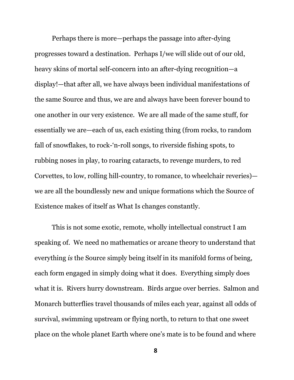Perhaps there is more—perhaps the passage into after-dying progresses toward a destination. Perhaps I/we will slide out of our old, heavy skins of mortal self-concern into an after-dying recognition—a display!—that after all, we have always been individual manifestations of the same Source and thus, we are and always have been forever bound to one another in our very existence. We are all made of the same stuff, for essentially we are—each of us, each existing thing (from rocks, to random fall of snowflakes, to rock-'n-roll songs, to riverside fishing spots, to rubbing noses in play, to roaring cataracts, to revenge murders, to red Corvettes, to low, rolling hill-country, to romance, to wheelchair reveries) we are all the boundlessly new and unique formations which the Source of Existence makes of itself as What Is changes constantly.

This is not some exotic, remote, wholly intellectual construct I am speaking of. We need no mathematics or arcane theory to understand that everything *is* the Source simply being itself in its manifold forms of being, each form engaged in simply doing what it does. Everything simply does what it is. Rivers hurry downstream. Birds argue over berries. Salmon and Monarch butterflies travel thousands of miles each year, against all odds of survival, swimming upstream or flying north, to return to that one sweet place on the whole planet Earth where one's mate is to be found and where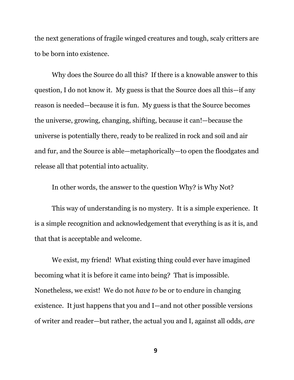the next generations of fragile winged creatures and tough, scaly critters are to be born into existence.

Why does the Source do all this? If there is a knowable answer to this question, I do not know it. My guess is that the Source does all this—if any reason is needed—because it is fun. My guess is that the Source becomes the universe, growing, changing, shifting, because it can!—because the universe is potentially there, ready to be realized in rock and soil and air and fur, and the Source is able—metaphorically—to open the floodgates and release all that potential into actuality.

In other words, the answer to the question Why? is Why Not?

This way of understanding is no mystery. It is a simple experience. It is a simple recognition and acknowledgement that everything is as it is, and that that is acceptable and welcome.

We exist, my friend! What existing thing could ever have imagined becoming what it is before it came into being? That is impossible. Nonetheless, we exist! We do not *have to* be or to endure in changing existence. It just happens that you and I—and not other possible versions of writer and reader—but rather, the actual you and I, against all odds, *are*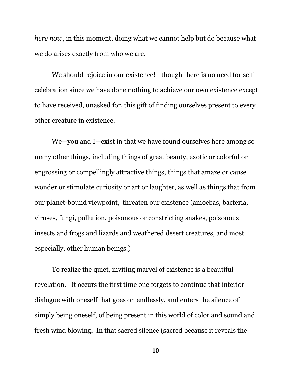*here now*, in this moment, doing what we cannot help but do because what we do arises exactly from who we are.

We should rejoice in our existence!—though there is no need for selfcelebration since we have done nothing to achieve our own existence except to have received, unasked for, this gift of finding ourselves present to every other creature in existence.

We—you and I—exist in that we have found ourselves here among so many other things, including things of great beauty, exotic or colorful or engrossing or compellingly attractive things, things that amaze or cause wonder or stimulate curiosity or art or laughter, as well as things that from our planet-bound viewpoint, threaten our existence (amoebas, bacteria, viruses, fungi, pollution, poisonous or constricting snakes, poisonous insects and frogs and lizards and weathered desert creatures, and most especially, other human beings.)

To realize the quiet, inviting marvel of existence is a beautiful revelation. It occurs the first time one forgets to continue that interior dialogue with oneself that goes on endlessly, and enters the silence of simply being oneself, of being present in this world of color and sound and fresh wind blowing. In that sacred silence (sacred because it reveals the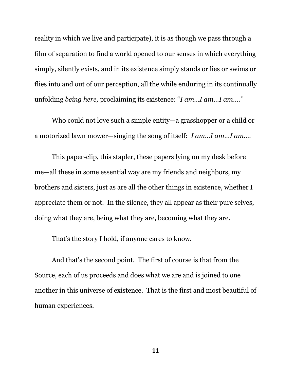reality in which we live and participate), it is as though we pass through a film of separation to find a world opened to our senses in which everything simply, silently exists, and in its existence simply stands or lies or swims or flies into and out of our perception, all the while enduring in its continually unfolding *being here,* proclaiming its existence: "*I am…I am…I am…."*

Who could not love such a simple entity—a grasshopper or a child or a motorized lawn mower—singing the song of itself: *I am…I am…I am….*

This paper-clip, this stapler, these papers lying on my desk before me—all these in some essential way are my friends and neighbors, my brothers and sisters, just as are all the other things in existence, whether I appreciate them or not. In the silence, they all appear as their pure selves, doing what they are, being what they are, becoming what they are.

That's the story I hold, if anyone cares to know.

And that's the second point. The first of course is that from the Source, each of us proceeds and does what we are and is joined to one another in this universe of existence. That is the first and most beautiful of human experiences.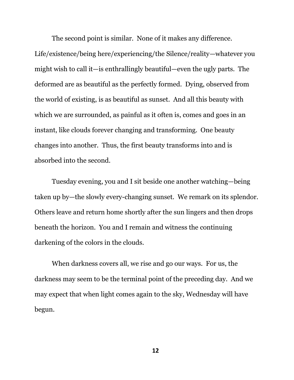The second point is similar. None of it makes any difference. Life/existence/being here/experiencing/the Silence/reality—whatever you might wish to call it—is enthrallingly beautiful—even the ugly parts. The deformed are as beautiful as the perfectly formed. Dying, observed from the world of existing, is as beautiful as sunset. And all this beauty with which we are surrounded, as painful as it often is, comes and goes in an instant, like clouds forever changing and transforming. One beauty changes into another. Thus, the first beauty transforms into and is absorbed into the second.

Tuesday evening, you and I sit beside one another watching—being taken up by—the slowly every-changing sunset. We remark on its splendor. Others leave and return home shortly after the sun lingers and then drops beneath the horizon. You and I remain and witness the continuing darkening of the colors in the clouds.

When darkness covers all, we rise and go our ways. For us, the darkness may seem to be the terminal point of the preceding day. And we may expect that when light comes again to the sky, Wednesday will have begun.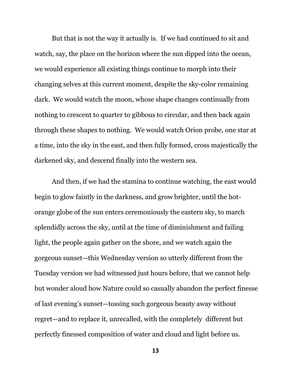But that is not the way it actually is. If we had continued to sit and watch, say, the place on the horizon where the sun dipped into the ocean, we would experience all existing things continue to morph into their changing selves at this current moment, despite the sky-color remaining dark. We would watch the moon, whose shape changes continually from nothing to crescent to quarter to gibbous to circular, and then back again through these shapes to nothing. We would watch Orion probe, one star at a time, into the sky in the east, and then fully formed, cross majestically the darkened sky, and descend finally into the western sea.

And then, if we had the stamina to continue watching, the east would begin to glow faintly in the darkness, and grow brighter, until the hotorange globe of the sun enters ceremoniously the eastern sky, to march splendidly across the sky, until at the time of diminishment and failing light, the people again gather on the shore, and we watch again the gorgeous sunset—this Wednesday version so utterly different from the Tuesday version we had witnessed just hours before, that we cannot help but wonder aloud how Nature could so casually abandon the perfect finesse of last evening's sunset—tossing such gorgeous beauty away without regret—and to replace it, unrecalled, with the completely different but perfectly finessed composition of water and cloud and light before us.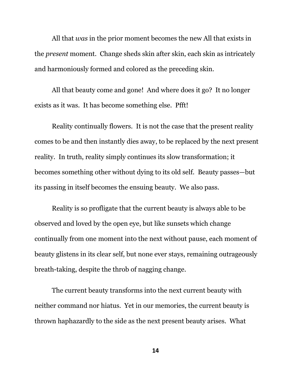All that *was* in the prior moment becomes the new All that exists in the *present* moment. Change sheds skin after skin, each skin as intricately and harmoniously formed and colored as the preceding skin.

All that beauty come and gone! And where does it go? It no longer exists as it was. It has become something else. Pfft!

Reality continually flowers. It is not the case that the present reality comes to be and then instantly dies away, to be replaced by the next present reality. In truth, reality simply continues its slow transformation; it becomes something other without dying to its old self. Beauty passes—but its passing in itself becomes the ensuing beauty. We also pass.

Reality is so profligate that the current beauty is always able to be observed and loved by the open eye, but like sunsets which change continually from one moment into the next without pause, each moment of beauty glistens in its clear self, but none ever stays, remaining outrageously breath-taking, despite the throb of nagging change.

The current beauty transforms into the next current beauty with neither command nor hiatus. Yet in our memories, the current beauty is thrown haphazardly to the side as the next present beauty arises. What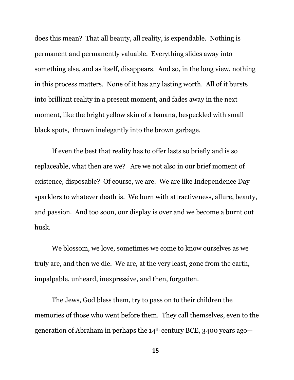does this mean? That all beauty, all reality, is expendable. Nothing is permanent and permanently valuable. Everything slides away into something else, and as itself, disappears. And so, in the long view, nothing in this process matters. None of it has any lasting worth. All of it bursts into brilliant reality in a present moment, and fades away in the next moment, like the bright yellow skin of a banana, bespeckled with small black spots, thrown inelegantly into the brown garbage.

If even the best that reality has to offer lasts so briefly and is so replaceable, what then are we? Are we not also in our brief moment of existence, disposable? Of course, we are. We are like Independence Day sparklers to whatever death is. We burn with attractiveness, allure, beauty, and passion. And too soon, our display is over and we become a burnt out husk.

We blossom, we love, sometimes we come to know ourselves as we truly are, and then we die. We are, at the very least, gone from the earth, impalpable, unheard, inexpressive, and then, forgotten.

The Jews, God bless them, try to pass on to their children the memories of those who went before them. They call themselves, even to the generation of Abraham in perhaps the 14th century BCE, 3400 years ago—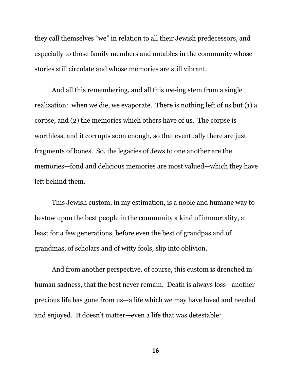they call themselves "we" in relation to all their Jewish predecessors, and especially to those family members and notables in the community whose stories still circulate and whose memories are still vibrant.

And all this remembering, and all this *we*-ing stem from a single realization: when we die, we evaporate. There is nothing left of us but (1) a corpse, and (2) the memories which others have of us. The corpse is worthless, and it corrupts soon enough, so that eventually there are just fragments of bones. So, the legacies of Jews to one another are the memories—fond and delicious memories are most valued—which they have left behind them.

This Jewish custom, in my estimation, is a noble and humane way to bestow upon the best people in the community a kind of immortality, at least for a few generations, before even the best of grandpas and of grandmas, of scholars and of witty fools, slip into oblivion.

And from another perspective, of course, this custom is drenched in human sadness, that the best never remain. Death is always loss—another precious life has gone from us—a life which we may have loved and needed and enjoyed. It doesn't matter—even a life that was detestable: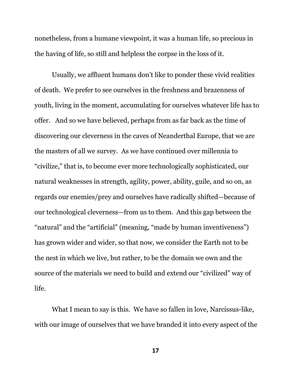nonetheless, from a humane viewpoint, it was a human life, so precious in the having of life, so still and helpless the corpse in the loss of it.

Usually, we affluent humans don't like to ponder these vivid realities of death. We prefer to see ourselves in the freshness and brazenness of youth, living in the moment, accumulating for ourselves whatever life has to offer. And so we have believed, perhaps from as far back as the time of discovering our cleverness in the caves of Neanderthal Europe, that we are the masters of all we survey. As we have continued over millennia to "civilize," that is, to become ever more technologically sophisticated, our natural weaknesses in strength, agility, power, ability, guile, and so on, as regards our enemies/prey and ourselves have radically shifted—because of our technological cleverness—from us to them. And this gap between the "natural" and the "artificial" (meaning, "made by human inventiveness") has grown wider and wider, so that now, we consider the Earth not to be the nest in which we live, but rather, to be the domain we own and the source of the materials we need to build and extend our "civilized" way of life.

What I mean to say is this. We have so fallen in love, Narcissus-like, with our image of ourselves that we have branded it into every aspect of the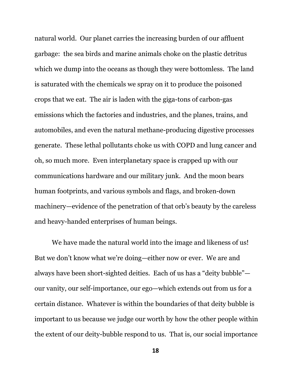natural world. Our planet carries the increasing burden of our affluent garbage: the sea birds and marine animals choke on the plastic detritus which we dump into the oceans as though they were bottomless. The land is saturated with the chemicals we spray on it to produce the poisoned crops that we eat. The air is laden with the giga-tons of carbon-gas emissions which the factories and industries, and the planes, trains, and automobiles, and even the natural methane-producing digestive processes generate. These lethal pollutants choke us with COPD and lung cancer and oh, so much more. Even interplanetary space is crapped up with our communications hardware and our military junk. And the moon bears human footprints, and various symbols and flags, and broken-down machinery—evidence of the penetration of that orb's beauty by the careless and heavy-handed enterprises of human beings.

We have made the natural world into the image and likeness of us! But we don't know what we're doing—either now or ever. We are and always have been short-sighted deities. Each of us has a "deity bubble" our vanity, our self-importance, our ego—which extends out from us for a certain distance. Whatever is within the boundaries of that deity bubble is important to us because we judge our worth by how the other people within the extent of our deity-bubble respond to us. That is, our social importance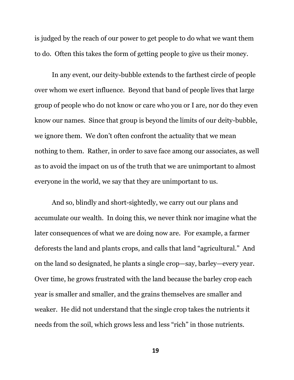is judged by the reach of our power to get people to do what we want them to do. Often this takes the form of getting people to give us their money.

In any event, our deity-bubble extends to the farthest circle of people over whom we exert influence. Beyond that band of people lives that large group of people who do not know or care who you or I are, nor do they even know our names. Since that group is beyond the limits of our deity-bubble, we ignore them. We don't often confront the actuality that we mean nothing to them. Rather, in order to save face among our associates, as well as to avoid the impact on us of the truth that we are unimportant to almost everyone in the world, we say that they are unimportant to us.

And so, blindly and short-sightedly, we carry out our plans and accumulate our wealth. In doing this, we never think nor imagine what the later consequences of what we are doing now are. For example, a farmer deforests the land and plants crops, and calls that land "agricultural." And on the land so designated, he plants a single crop—say, barley—every year. Over time, he grows frustrated with the land because the barley crop each year is smaller and smaller, and the grains themselves are smaller and weaker. He did not understand that the single crop takes the nutrients it needs from the soil, which grows less and less "rich" in those nutrients.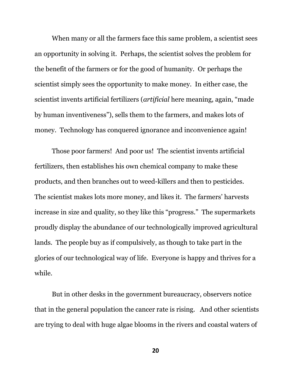When many or all the farmers face this same problem, a scientist sees an opportunity in solving it. Perhaps, the scientist solves the problem for the benefit of the farmers or for the good of humanity. Or perhaps the scientist simply sees the opportunity to make money. In either case, the scientist invents artificial fertilizers (*artificial* here meaning, again, "made by human inventiveness"), sells them to the farmers, and makes lots of money. Technology has conquered ignorance and inconvenience again!

Those poor farmers! And poor us! The scientist invents artificial fertilizers, then establishes his own chemical company to make these products, and then branches out to weed-killers and then to pesticides. The scientist makes lots more money, and likes it. The farmers' harvests increase in size and quality, so they like this "progress." The supermarkets proudly display the abundance of our technologically improved agricultural lands. The people buy as if compulsively, as though to take part in the glories of our technological way of life. Everyone is happy and thrives for a while.

But in other desks in the government bureaucracy, observers notice that in the general population the cancer rate is rising. And other scientists are trying to deal with huge algae blooms in the rivers and coastal waters of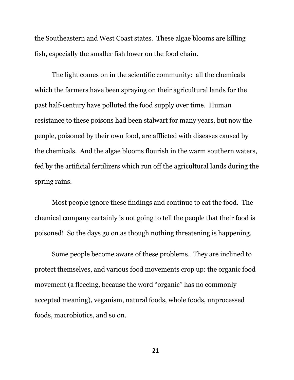the Southeastern and West Coast states. These algae blooms are killing fish, especially the smaller fish lower on the food chain.

The light comes on in the scientific community: all the chemicals which the farmers have been spraying on their agricultural lands for the past half-century have polluted the food supply over time. Human resistance to these poisons had been stalwart for many years, but now the people, poisoned by their own food, are afflicted with diseases caused by the chemicals. And the algae blooms flourish in the warm southern waters, fed by the artificial fertilizers which run off the agricultural lands during the spring rains.

Most people ignore these findings and continue to eat the food. The chemical company certainly is not going to tell the people that their food is poisoned! So the days go on as though nothing threatening is happening.

Some people become aware of these problems. They are inclined to protect themselves, and various food movements crop up: the organic food movement (a fleecing, because the word "organic" has no commonly accepted meaning), veganism, natural foods, whole foods, unprocessed foods, macrobiotics, and so on.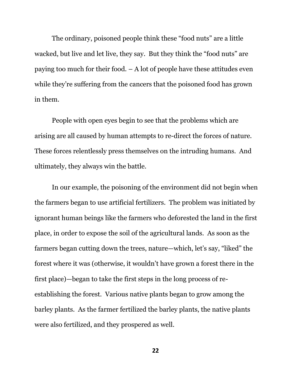The ordinary, poisoned people think these "food nuts" are a little wacked, but live and let live, they say. But they think the "food nuts" are paying too much for their food.  $- A$  lot of people have these attitudes even while they're suffering from the cancers that the poisoned food has grown in them.

People with open eyes begin to see that the problems which are arising are all caused by human attempts to re-direct the forces of nature. These forces relentlessly press themselves on the intruding humans. And ultimately, they always win the battle.

In our example, the poisoning of the environment did not begin when the farmers began to use artificial fertilizers. The problem was initiated by ignorant human beings like the farmers who deforested the land in the first place, in order to expose the soil of the agricultural lands. As soon as the farmers began cutting down the trees, nature—which, let's say, "liked" the forest where it was (otherwise, it wouldn't have grown a forest there in the first place)—began to take the first steps in the long process of reestablishing the forest. Various native plants began to grow among the barley plants. As the farmer fertilized the barley plants, the native plants were also fertilized, and they prospered as well.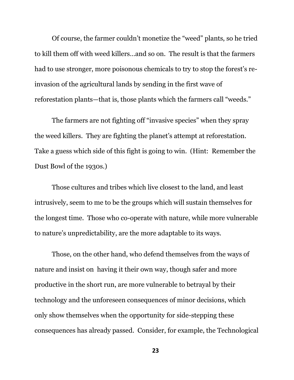Of course, the farmer couldn't monetize the "weed" plants, so he tried to kill them off with weed killers…and so on. The result is that the farmers had to use stronger, more poisonous chemicals to try to stop the forest's reinvasion of the agricultural lands by sending in the first wave of reforestation plants—that is, those plants which the farmers call "weeds."

The farmers are not fighting off "invasive species" when they spray the weed killers. They are fighting the planet's attempt at reforestation. Take a guess which side of this fight is going to win. (Hint: Remember the Dust Bowl of the 1930s.)

Those cultures and tribes which live closest to the land, and least intrusively, seem to me to be the groups which will sustain themselves for the longest time. Those who co-operate with nature, while more vulnerable to nature's unpredictability, are the more adaptable to its ways.

Those, on the other hand, who defend themselves from the ways of nature and insist on having it their own way, though safer and more productive in the short run, are more vulnerable to betrayal by their technology and the unforeseen consequences of minor decisions, which only show themselves when the opportunity for side-stepping these consequences has already passed. Consider, for example, the Technological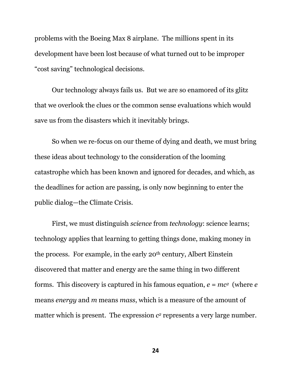problems with the Boeing Max 8 airplane. The millions spent in its development have been lost because of what turned out to be improper "cost saving" technological decisions.

Our technology always fails us. But we are so enamored of its glitz that we overlook the clues or the common sense evaluations which would save us from the disasters which it inevitably brings.

So when we re-focus on our theme of dying and death, we must bring these ideas about technology to the consideration of the looming catastrophe which has been known and ignored for decades, and which, as the deadlines for action are passing, is only now beginning to enter the public dialog—the Climate Crisis.

First, we must distinguish *science* from *technology*: science learns; technology applies that learning to getting things done, making money in the process. For example, in the early 20th century, Albert Einstein discovered that matter and energy are the same thing in two different forms. This discovery is captured in his famous equation, *e = mc2* (where *e* means *energy* and *m* means *mass*, which is a measure of the amount of matter which is present. The expression  $c<sup>2</sup>$  represents a very large number.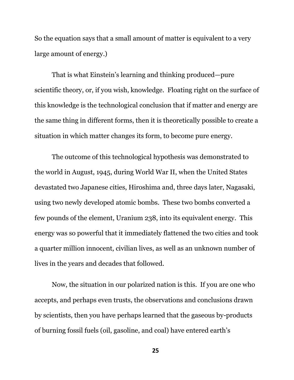So the equation says that a small amount of matter is equivalent to a very large amount of energy.)

That is what Einstein's learning and thinking produced—pure scientific theory, or, if you wish, knowledge. Floating right on the surface of this knowledge is the technological conclusion that if matter and energy are the same thing in different forms, then it is theoretically possible to create a situation in which matter changes its form, to become pure energy.

The outcome of this technological hypothesis was demonstrated to the world in August, 1945, during World War II, when the United States devastated two Japanese cities, Hiroshima and, three days later, Nagasaki, using two newly developed atomic bombs. These two bombs converted a few pounds of the element, Uranium 238, into its equivalent energy. This energy was so powerful that it immediately flattened the two cities and took a quarter million innocent, civilian lives, as well as an unknown number of lives in the years and decades that followed.

Now, the situation in our polarized nation is this. If you are one who accepts, and perhaps even trusts, the observations and conclusions drawn by scientists, then you have perhaps learned that the gaseous by-products of burning fossil fuels (oil, gasoline, and coal) have entered earth's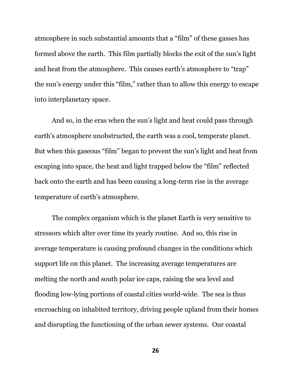atmosphere in such substantial amounts that a "film" of these gasses has formed above the earth. This film partially blocks the exit of the sun's light and heat from the atmosphere. This causes earth's atmosphere to "trap" the sun's energy under this "film," rather than to allow this energy to escape into interplanetary space.

And so, in the eras when the sun's light and heat could pass through earth's atmosphere unobstructed, the earth was a cool, temperate planet. But when this gaseous "film" began to prevent the sun's light and heat from escaping into space, the heat and light trapped below the "film" reflected back onto the earth and has been causing a long-term rise in the average temperature of earth's atmosphere.

The complex organism which is the planet Earth is very sensitive to stressors which alter over time its yearly routine. And so, this rise in average temperature is causing profound changes in the conditions which support life on this planet. The increasing average temperatures are melting the north and south polar ice caps, raising the sea level and flooding low-lying portions of coastal cities world-wide. The sea is thus encroaching on inhabited territory, driving people upland from their homes and disrupting the functioning of the urban sewer systems. Our coastal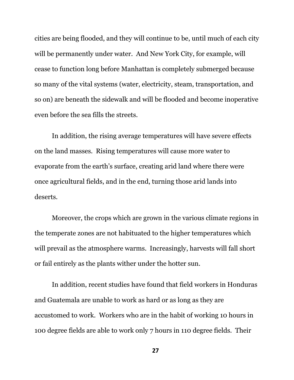cities are being flooded, and they will continue to be, until much of each city will be permanently under water. And New York City, for example, will cease to function long before Manhattan is completely submerged because so many of the vital systems (water, electricity, steam, transportation, and so on) are beneath the sidewalk and will be flooded and become inoperative even before the sea fills the streets.

In addition, the rising average temperatures will have severe effects on the land masses. Rising temperatures will cause more water to evaporate from the earth's surface, creating arid land where there were once agricultural fields, and in the end, turning those arid lands into deserts.

Moreover, the crops which are grown in the various climate regions in the temperate zones are not habituated to the higher temperatures which will prevail as the atmosphere warms. Increasingly, harvests will fall short or fail entirely as the plants wither under the hotter sun.

In addition, recent studies have found that field workers in Honduras and Guatemala are unable to work as hard or as long as they are accustomed to work. Workers who are in the habit of working 10 hours in 100 degree fields are able to work only 7 hours in 110 degree fields. Their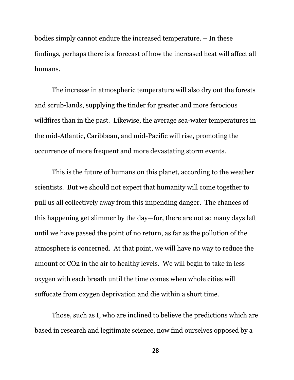bodies simply cannot endure the increased temperature. – In these findings, perhaps there is a forecast of how the increased heat will affect all humans.

The increase in atmospheric temperature will also dry out the forests and scrub-lands, supplying the tinder for greater and more ferocious wildfires than in the past. Likewise, the average sea-water temperatures in the mid-Atlantic, Caribbean, and mid-Pacific will rise, promoting the occurrence of more frequent and more devastating storm events.

This is the future of humans on this planet, according to the weather scientists. But we should not expect that humanity will come together to pull us all collectively away from this impending danger. The chances of this happening get slimmer by the day—for, there are not so many days left until we have passed the point of no return, as far as the pollution of the atmosphere is concerned. At that point, we will have no way to reduce the amount of CO2 in the air to healthy levels. We will begin to take in less oxygen with each breath until the time comes when whole cities will suffocate from oxygen deprivation and die within a short time.

Those, such as I, who are inclined to believe the predictions which are based in research and legitimate science, now find ourselves opposed by a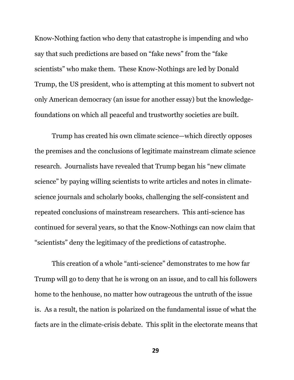Know-Nothing faction who deny that catastrophe is impending and who say that such predictions are based on "fake news" from the "fake scientists" who make them. These Know-Nothings are led by Donald Trump, the US president, who is attempting at this moment to subvert not only American democracy (an issue for another essay) but the knowledgefoundations on which all peaceful and trustworthy societies are built.

Trump has created his own climate science—which directly opposes the premises and the conclusions of legitimate mainstream climate science research. Journalists have revealed that Trump began his "new climate science" by paying willing scientists to write articles and notes in climatescience journals and scholarly books, challenging the self-consistent and repeated conclusions of mainstream researchers. This anti-science has continued for several years, so that the Know-Nothings can now claim that "scientists" deny the legitimacy of the predictions of catastrophe.

This creation of a whole "anti-science" demonstrates to me how far Trump will go to deny that he is wrong on an issue, and to call his followers home to the henhouse, no matter how outrageous the untruth of the issue is. As a result, the nation is polarized on the fundamental issue of what the facts are in the climate-crisis debate. This split in the electorate means that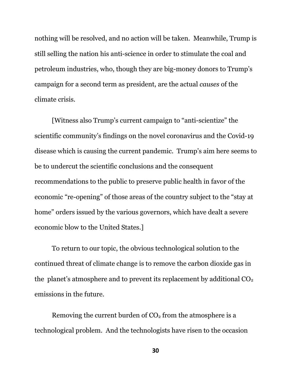nothing will be resolved, and no action will be taken. Meanwhile, Trump is still selling the nation his anti-science in order to stimulate the coal and petroleum industries, who, though they are big-money donors to Trump's campaign for a second term as president, are the actual *causes* of the climate crisis.

[Witness also Trump's current campaign to "anti-scientize" the scientific community's findings on the novel coronavirus and the Covid-19 disease which is causing the current pandemic. Trump's aim here seems to be to undercut the scientific conclusions and the consequent recommendations to the public to preserve public health in favor of the economic "re-opening" of those areas of the country subject to the "stay at home" orders issued by the various governors, which have dealt a severe economic blow to the United States.]

To return to our topic, the obvious technological solution to the continued threat of climate change is to remove the carbon dioxide gas in the planet's atmosphere and to prevent its replacement by additional  $CO<sub>2</sub>$ emissions in the future.

Removing the current burden of  $CO<sub>2</sub>$  from the atmosphere is a technological problem. And the technologists have risen to the occasion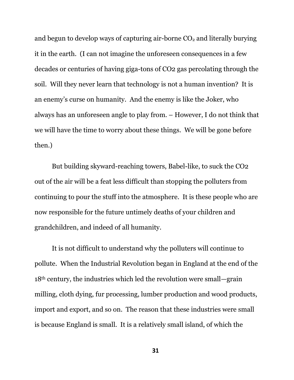and begun to develop ways of capturing air-borne  $CO<sub>2</sub>$  and literally burying it in the earth. (I can not imagine the unforeseen consequences in a few decades or centuries of having giga-tons of CO2 gas percolating through the soil. Will they never learn that technology is not a human invention? It is an enemy's curse on humanity. And the enemy is like the Joker, who always has an unforeseen angle to play from. – However, I do not think that we will have the time to worry about these things. We will be gone before then.)

But building skyward-reaching towers, Babel-like, to suck the CO2 out of the air will be a feat less difficult than stopping the polluters from continuing to pour the stuff into the atmosphere. It is these people who are now responsible for the future untimely deaths of your children and grandchildren, and indeed of all humanity.

It is not difficult to understand why the polluters will continue to pollute. When the Industrial Revolution began in England at the end of the 18th century, the industries which led the revolution were small—grain milling, cloth dying, fur processing, lumber production and wood products, import and export, and so on. The reason that these industries were small is because England is small. It is a relatively small island, of which the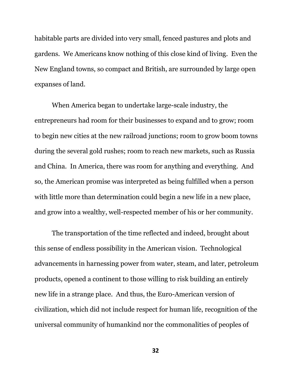habitable parts are divided into very small, fenced pastures and plots and gardens. We Americans know nothing of this close kind of living. Even the New England towns, so compact and British, are surrounded by large open expanses of land.

When America began to undertake large-scale industry, the entrepreneurs had room for their businesses to expand and to grow; room to begin new cities at the new railroad junctions; room to grow boom towns during the several gold rushes; room to reach new markets, such as Russia and China. In America, there was room for anything and everything. And so, the American promise was interpreted as being fulfilled when a person with little more than determination could begin a new life in a new place, and grow into a wealthy, well-respected member of his or her community.

The transportation of the time reflected and indeed, brought about this sense of endless possibility in the American vision. Technological advancements in harnessing power from water, steam, and later, petroleum products, opened a continent to those willing to risk building an entirely new life in a strange place. And thus, the Euro-American version of civilization, which did not include respect for human life, recognition of the universal community of humankind nor the commonalities of peoples of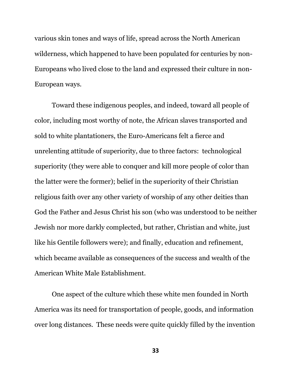various skin tones and ways of life, spread across the North American wilderness, which happened to have been populated for centuries by non-Europeans who lived close to the land and expressed their culture in non-European ways.

Toward these indigenous peoples, and indeed, toward all people of color, including most worthy of note, the African slaves transported and sold to white plantationers, the Euro-Americans felt a fierce and unrelenting attitude of superiority, due to three factors: technological superiority (they were able to conquer and kill more people of color than the latter were the former); belief in the superiority of their Christian religious faith over any other variety of worship of any other deities than God the Father and Jesus Christ his son (who was understood to be neither Jewish nor more darkly complected, but rather, Christian and white, just like his Gentile followers were); and finally, education and refinement, which became available as consequences of the success and wealth of the American White Male Establishment.

One aspect of the culture which these white men founded in North America was its need for transportation of people, goods, and information over long distances. These needs were quite quickly filled by the invention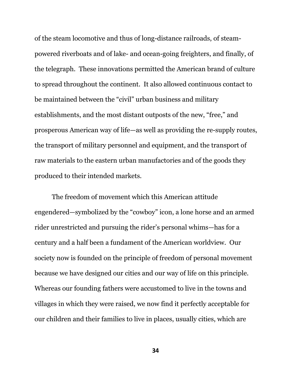of the steam locomotive and thus of long-distance railroads, of steampowered riverboats and of lake- and ocean-going freighters, and finally, of the telegraph. These innovations permitted the American brand of culture to spread throughout the continent. It also allowed continuous contact to be maintained between the "civil" urban business and military establishments, and the most distant outposts of the new, "free," and prosperous American way of life—as well as providing the re-supply routes, the transport of military personnel and equipment, and the transport of raw materials to the eastern urban manufactories and of the goods they produced to their intended markets.

The freedom of movement which this American attitude engendered—symbolized by the "cowboy" icon, a lone horse and an armed rider unrestricted and pursuing the rider's personal whims—has for a century and a half been a fundament of the American worldview. Our society now is founded on the principle of freedom of personal movement because we have designed our cities and our way of life on this principle. Whereas our founding fathers were accustomed to live in the towns and villages in which they were raised, we now find it perfectly acceptable for our children and their families to live in places, usually cities, which are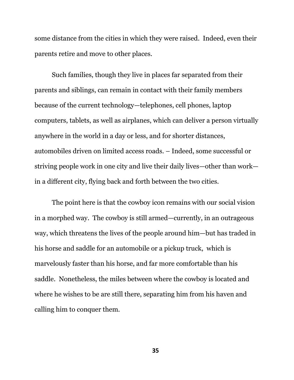some distance from the cities in which they were raised. Indeed, even their parents retire and move to other places.

Such families, though they live in places far separated from their parents and siblings, can remain in contact with their family members because of the current technology—telephones, cell phones, laptop computers, tablets, as well as airplanes, which can deliver a person virtually anywhere in the world in a day or less, and for shorter distances, automobiles driven on limited access roads. – Indeed, some successful or striving people work in one city and live their daily lives—other than work in a different city, flying back and forth between the two cities.

The point here is that the cowboy icon remains with our social vision in a morphed way. The cowboy is still armed—currently, in an outrageous way, which threatens the lives of the people around him—but has traded in his horse and saddle for an automobile or a pickup truck, which is marvelously faster than his horse, and far more comfortable than his saddle. Nonetheless, the miles between where the cowboy is located and where he wishes to be are still there, separating him from his haven and calling him to conquer them.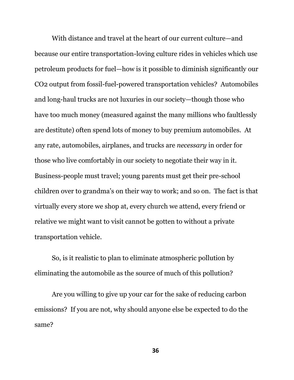With distance and travel at the heart of our current culture—and because our entire transportation-loving culture rides in vehicles which use petroleum products for fuel—how is it possible to diminish significantly our CO2 output from fossil-fuel-powered transportation vehicles? Automobiles and long-haul trucks are not luxuries in our society—though those who have too much money (measured against the many millions who faultlessly are destitute) often spend lots of money to buy premium automobiles. At any rate, automobiles, airplanes, and trucks are *necessary* in order for those who live comfortably in our society to negotiate their way in it. Business-people must travel; young parents must get their pre-school children over to grandma's on their way to work; and so on. The fact is that virtually every store we shop at, every church we attend, every friend or relative we might want to visit cannot be gotten to without a private transportation vehicle.

So, is it realistic to plan to eliminate atmospheric pollution by eliminating the automobile as the source of much of this pollution?

Are you willing to give up your car for the sake of reducing carbon emissions? If you are not, why should anyone else be expected to do the same?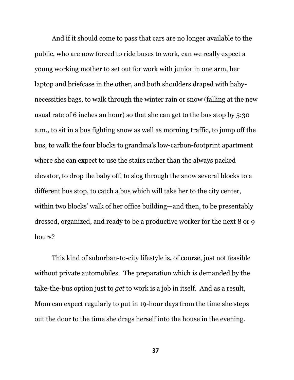And if it should come to pass that cars are no longer available to the public, who are now forced to ride buses to work, can we really expect a young working mother to set out for work with junior in one arm, her laptop and briefcase in the other, and both shoulders draped with babynecessities bags, to walk through the winter rain or snow (falling at the new usual rate of 6 inches an hour) so that she can get to the bus stop by 5:30 a.m., to sit in a bus fighting snow as well as morning traffic, to jump off the bus, to walk the four blocks to grandma's low-carbon-footprint apartment where she can expect to use the stairs rather than the always packed elevator, to drop the baby off, to slog through the snow several blocks to a different bus stop, to catch a bus which will take her to the city center, within two blocks' walk of her office building—and then, to be presentably dressed, organized, and ready to be a productive worker for the next 8 or 9 hours?

This kind of suburban-to-city lifestyle is, of course, just not feasible without private automobiles. The preparation which is demanded by the take-the-bus option just to *get* to work is a job in itself. And as a result, Mom can expect regularly to put in 19-hour days from the time she steps out the door to the time she drags herself into the house in the evening.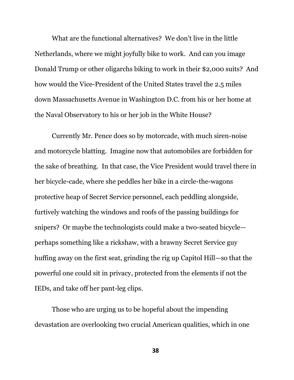What are the functional alternatives? We don't live in the little Netherlands, where we might joyfully bike to work. And can you image Donald Trump or other oligarchs biking to work in their \$2,000 suits? And how would the Vice-President of the United States travel the 2.5 miles down Massachusetts Avenue in Washington D.C. from his or her home at the Naval Observatory to his or her job in the White House?

Currently Mr. Pence does so by motorcade, with much siren-noise and motorcycle blatting. Imagine now that automobiles are forbidden for the sake of breathing. In that case, the Vice President would travel there in her bicycle-cade, where she peddles her bike in a circle-the-wagons protective heap of Secret Service personnel, each peddling alongside, furtively watching the windows and roofs of the passing buildings for snipers? Or maybe the technologists could make a two-seated bicycle perhaps something like a rickshaw, with a brawny Secret Service guy huffing away on the first seat, grinding the rig up Capitol Hill—so that the powerful one could sit in privacy, protected from the elements if not the IEDs, and take off her pant-leg clips.

Those who are urging us to be hopeful about the impending devastation are overlooking two crucial American qualities, which in one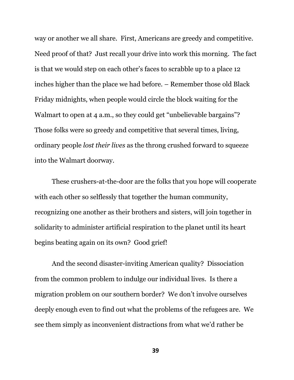way or another we all share. First, Americans are greedy and competitive. Need proof of that? Just recall your drive into work this morning. The fact is that we would step on each other's faces to scrabble up to a place 12 inches higher than the place we had before. – Remember those old Black Friday midnights, when people would circle the block waiting for the Walmart to open at 4 a.m., so they could get "unbelievable bargains"? Those folks were so greedy and competitive that several times, living, ordinary people *lost their lives* as the throng crushed forward to squeeze into the Walmart doorway.

These crushers-at-the-door are the folks that you hope will cooperate with each other so selflessly that together the human community, recognizing one another as their brothers and sisters, will join together in solidarity to administer artificial respiration to the planet until its heart begins beating again on its own? Good grief!

And the second disaster-inviting American quality? Dissociation from the common problem to indulge our individual lives. Is there a migration problem on our southern border? We don't involve ourselves deeply enough even to find out what the problems of the refugees are. We see them simply as inconvenient distractions from what we'd rather be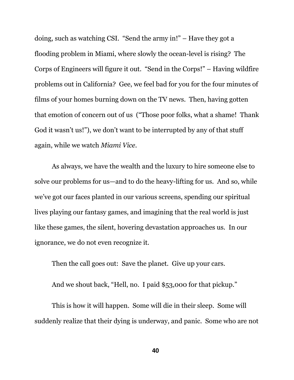doing, such as watching CSI. "Send the army in!" – Have they got a flooding problem in Miami, where slowly the ocean-level is rising? The Corps of Engineers will figure it out. "Send in the Corps!" – Having wildfire problems out in California? Gee, we feel bad for you for the four minutes of films of your homes burning down on the TV news. Then, having gotten that emotion of concern out of us ("Those poor folks, what a shame! Thank God it wasn't us!"), we don't want to be interrupted by any of that stuff again, while we watch *Miami Vice*.

As always, we have the wealth and the luxury to hire someone else to solve our problems for us—and to do the heavy-lifting for us. And so, while we've got our faces planted in our various screens, spending our spiritual lives playing our fantasy games, and imagining that the real world is just like these games, the silent, hovering devastation approaches us. In our ignorance, we do not even recognize it.

Then the call goes out: Save the planet. Give up your cars.

And we shout back, "Hell, no. I paid \$53,000 for that pickup."

This is how it will happen. Some will die in their sleep. Some will suddenly realize that their dying is underway, and panic. Some who are not